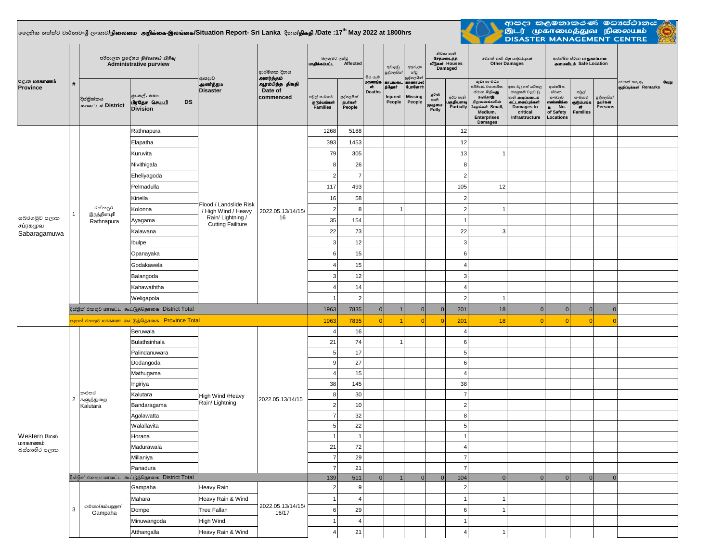## **දදනික තත්ත්ව වාර්තාව-ශ්රී ලංකාව/**epiyik mwpf;if-,yq;if**/Situation Report- Sri Lanka දිනය/**jpfjp **/Date :17th May 2022 at 1800hrs**



ආපදා කලමනාකරණ මධාස්ථානය<br>මූ මූ (முகாமைத்துவ நிலையம் <mark>(ලූ)</mark><br>DISASTER MANAGEMENT CENTRE

| <b>அதாகாணம்</b><br>Province              | $\#$           | පරිපාලන පුදේශය <i>நிர்வாகப் பிரிவு</i><br><b>Administrative purview</b> |                                                            |                                                                                                | ආරම්භක දිනය<br>அனர்த்தம்                | බලපෑමට ලක්වු<br>பாதிக்கப்பட்ட<br>Affected       |                                        | මිය යෑම                       | තුවාලවු<br>පුද්ගලයින්                 | නිවාස හානි<br>சேதமடைந்த<br>வீடுகள் Houses<br>අතුරුදහ<br>Damaged<br>න්වූ<br>පුද්ගලයින් |                                     | சூலி லகி பிற பாதிப்புகள்<br><b>Other Damages</b> |                                                                                                                                                    |                                                                                                                          | ආරක්ෂිත ස්ථාන <b>பாதுகாப்பான</b><br><b>AMOU Safe Location</b>                         |                                                        |                                               |                                               |
|------------------------------------------|----------------|-------------------------------------------------------------------------|------------------------------------------------------------|------------------------------------------------------------------------------------------------|-----------------------------------------|-------------------------------------------------|----------------------------------------|-------------------------------|---------------------------------------|---------------------------------------------------------------------------------------|-------------------------------------|--------------------------------------------------|----------------------------------------------------------------------------------------------------------------------------------------------------|--------------------------------------------------------------------------------------------------------------------------|---------------------------------------------------------------------------------------|--------------------------------------------------------|-----------------------------------------------|-----------------------------------------------|
|                                          |                | දිස්තික්කය<br>மாவட்டம் District                                         | පුා.ලේ. කො<br>பிரதேச செய.பி<br>DS<br><b>Division</b>       | ආපදාව<br><b>அனர்த்தம</b><br><b>Disaster</b>                                                    | ஆரம்பித்த திகதி<br>Date of<br>commenced | පවුල් ස∘බාගව<br>குடும்பங்கள்<br><b>Families</b> | පුද්ගලයින්<br><b>Buriast</b><br>People | மரணங்க<br>ள்<br><b>Deaths</b> | காயமலை<br>ந்தோர்<br>Injured<br>People | காணாமல்<br><b>GunGernt</b><br><b>Missing</b><br>People                                | ల్లరి లా<br>හානි<br>முழுமை<br>Fully | අර්ධ හානි<br>பகுதியளவு<br>Partially              | කුඩා හා මධා<br>පරිමාණ වාාපාරික<br>ස්ථාන හිඹු ගැන<br>நடுத்தரஇ<br>நிறுவனங்களின்<br>சேதங்கள் Small<br>Medium,<br><b>Enterprises</b><br><b>Damages</b> | ඉතා වැදගත් යටිතල<br>පහසුකම් වලට වූ<br>ை அடிப்படைக்<br>கட்டமைப்புக்கள்<br><b>Damages to</b><br>critical<br>Infrastructure | ආරක්ෂිත<br>ස්ථාන<br>යංඛාවෙ<br>எண்ணிக்கை<br>No.<br>$\bullet$<br>of Safety<br>Locations | පවුල්<br>සංඛාගව<br>குடும்பங்க<br>GŤ<br><b>Families</b> | පුද්ගලයින්<br><b>நபாகள்</b><br><b>Persons</b> | වෙනත් කරුණු<br>Gaigi<br>குறிப்புக்கள் Remarks |
| සබරගමුව පලාත<br>சப்ரகமுவ<br>Sabaragamuwa | $\mathbf{1}$   |                                                                         | Rathnapura                                                 | Flood / Landslide Risk<br>/ High Wind / Heavy<br>Rain/ Lightning /<br><b>Cutting Failiture</b> |                                         | 1268                                            | 5188                                   |                               |                                       |                                                                                       |                                     | 12                                               |                                                                                                                                                    |                                                                                                                          |                                                                                       |                                                        |                                               |                                               |
|                                          |                |                                                                         | Elapatha                                                   |                                                                                                |                                         | 393                                             | 1453                                   |                               |                                       |                                                                                       |                                     | 12                                               |                                                                                                                                                    |                                                                                                                          |                                                                                       |                                                        |                                               |                                               |
|                                          |                |                                                                         | Kuruvita                                                   |                                                                                                |                                         | 79                                              | 305                                    |                               |                                       |                                                                                       |                                     | 13                                               | -1                                                                                                                                                 |                                                                                                                          |                                                                                       |                                                        |                                               |                                               |
|                                          |                |                                                                         | Nivithigala                                                |                                                                                                | 2022.05.13/14/15/<br>16                 | 8                                               | 26                                     |                               |                                       |                                                                                       |                                     | 8                                                |                                                                                                                                                    |                                                                                                                          |                                                                                       |                                                        |                                               |                                               |
|                                          |                |                                                                         | Eheliyagoda                                                |                                                                                                |                                         | $\overline{2}$                                  | $\overline{7}$                         |                               |                                       |                                                                                       |                                     | $\overline{2}$                                   |                                                                                                                                                    |                                                                                                                          |                                                                                       |                                                        |                                               |                                               |
|                                          |                |                                                                         | Pelmadulla                                                 |                                                                                                |                                         | 117                                             | 493                                    |                               |                                       |                                                                                       |                                     | 105                                              | 12                                                                                                                                                 |                                                                                                                          |                                                                                       |                                                        |                                               |                                               |
|                                          |                |                                                                         | Kiriella                                                   |                                                                                                |                                         | 16                                              | 58                                     |                               |                                       |                                                                                       |                                     | $\overline{2}$                                   |                                                                                                                                                    |                                                                                                                          |                                                                                       |                                                        |                                               |                                               |
|                                          |                | රත්නපුර<br>இரத்தினபுரி<br>Rathnapura                                    | Kolonna                                                    |                                                                                                |                                         | 2 <sup>1</sup>                                  | 8                                      |                               | $\mathbf{1}$                          |                                                                                       |                                     | $\overline{2}$                                   |                                                                                                                                                    |                                                                                                                          |                                                                                       |                                                        |                                               |                                               |
|                                          |                |                                                                         | Ayagama                                                    |                                                                                                |                                         | 35                                              | 154                                    |                               |                                       |                                                                                       |                                     |                                                  |                                                                                                                                                    |                                                                                                                          |                                                                                       |                                                        |                                               |                                               |
|                                          |                |                                                                         | Kalawana                                                   |                                                                                                |                                         | 22                                              | 73                                     |                               |                                       |                                                                                       |                                     | 22                                               | 3                                                                                                                                                  |                                                                                                                          |                                                                                       |                                                        |                                               |                                               |
|                                          |                |                                                                         | Ibulpe                                                     |                                                                                                |                                         | 3                                               | 12                                     |                               |                                       |                                                                                       |                                     | 3                                                |                                                                                                                                                    |                                                                                                                          |                                                                                       |                                                        |                                               |                                               |
|                                          |                |                                                                         | Opanayaka                                                  |                                                                                                |                                         | 6                                               | 15                                     |                               |                                       |                                                                                       |                                     | 6                                                |                                                                                                                                                    |                                                                                                                          |                                                                                       |                                                        |                                               |                                               |
|                                          |                |                                                                         | Godakawela                                                 |                                                                                                |                                         | Δ                                               | 15                                     |                               |                                       |                                                                                       |                                     | 4                                                |                                                                                                                                                    |                                                                                                                          |                                                                                       |                                                        |                                               |                                               |
|                                          |                |                                                                         | Balangoda                                                  |                                                                                                |                                         | 3 <sup>1</sup>                                  | 12<br>3<br>14<br>4<br>4                |                               |                                       |                                                                                       |                                     |                                                  |                                                                                                                                                    |                                                                                                                          |                                                                                       |                                                        |                                               |                                               |
|                                          |                |                                                                         | Kahawaththa                                                |                                                                                                |                                         |                                                 |                                        |                               |                                       |                                                                                       |                                     |                                                  |                                                                                                                                                    |                                                                                                                          |                                                                                       |                                                        |                                               |                                               |
|                                          |                |                                                                         | Weligapola                                                 |                                                                                                |                                         |                                                 | $\overline{2}$                         |                               |                                       |                                                                                       |                                     | $\overline{2}$                                   |                                                                                                                                                    |                                                                                                                          |                                                                                       |                                                        |                                               |                                               |
|                                          |                | දිස්තික් එකතුව மாவட்ட கூட்டுத்தொகை District Total                       | 1963                                                       | 7835                                                                                           | $\overline{0}$                          |                                                 | $\Omega$                               | $\overline{0}$                | 201                                   | 18                                                                                    | $\mathbf{0}$                        | $\overline{0}$                                   | $\overline{0}$                                                                                                                                     | $\overline{0}$                                                                                                           |                                                                                       |                                                        |                                               |                                               |
|                                          |                |                                                                         | <mark>පළාත් එකතුව மாகாண கூட்டுத்தொகை Province Total</mark> |                                                                                                |                                         | 1963                                            | 7835                                   | $\Omega$                      |                                       |                                                                                       | $\overline{0}$                      | 201                                              | 18                                                                                                                                                 |                                                                                                                          |                                                                                       |                                                        | <b>C</b>                                      |                                               |
|                                          | $\overline{c}$ | කළුතර<br>களுத்துறை<br>Kalutara                                          | Beruwala                                                   | High Wind /Heavy<br>Rain/ Lightning                                                            |                                         | $\overline{4}$                                  | 16                                     |                               |                                       |                                                                                       |                                     | $\overline{4}$                                   |                                                                                                                                                    |                                                                                                                          |                                                                                       |                                                        |                                               |                                               |
|                                          |                |                                                                         | Bulathsinhala                                              |                                                                                                |                                         | 21                                              | 74                                     |                               | $\mathbf{1}$                          |                                                                                       |                                     | 6                                                |                                                                                                                                                    |                                                                                                                          |                                                                                       |                                                        |                                               |                                               |
|                                          |                |                                                                         | Palindanuwara                                              |                                                                                                |                                         | 5 <sup>1</sup>                                  | 17                                     |                               |                                       |                                                                                       |                                     | 5                                                |                                                                                                                                                    |                                                                                                                          |                                                                                       |                                                        |                                               |                                               |
|                                          |                |                                                                         | Dodangoda                                                  |                                                                                                |                                         | 9                                               | 27                                     |                               |                                       |                                                                                       |                                     | 6                                                |                                                                                                                                                    |                                                                                                                          |                                                                                       |                                                        |                                               |                                               |
|                                          |                |                                                                         | Mathugama                                                  |                                                                                                |                                         | 4<br>38                                         | 15<br>145                              |                               |                                       |                                                                                       |                                     | 4<br>38                                          |                                                                                                                                                    |                                                                                                                          |                                                                                       |                                                        |                                               |                                               |
|                                          |                |                                                                         | Ingiriya<br>Kalutara                                       |                                                                                                |                                         | 8                                               | 30                                     |                               |                                       |                                                                                       |                                     | $\overline{7}$                                   |                                                                                                                                                    |                                                                                                                          |                                                                                       |                                                        |                                               |                                               |
|                                          |                |                                                                         | Bandaragama                                                |                                                                                                | 2022.05.13/14/15                        | 2 <sup>1</sup>                                  | 10                                     |                               |                                       |                                                                                       |                                     | $\overline{2}$                                   |                                                                                                                                                    |                                                                                                                          |                                                                                       |                                                        |                                               |                                               |
| Western மேல்<br>மாகாணம்<br>බස්නාහිර පලාත |                |                                                                         | Agalawatta                                                 |                                                                                                |                                         | $\overline{7}$                                  | 32                                     |                               |                                       |                                                                                       |                                     | 8                                                |                                                                                                                                                    |                                                                                                                          |                                                                                       |                                                        |                                               |                                               |
|                                          |                |                                                                         | Walallavita                                                |                                                                                                |                                         | 5 <sup>1</sup>                                  | 22                                     |                               |                                       |                                                                                       |                                     | 5                                                |                                                                                                                                                    |                                                                                                                          |                                                                                       |                                                        |                                               |                                               |
|                                          |                |                                                                         | Horana                                                     |                                                                                                |                                         |                                                 |                                        |                               |                                       |                                                                                       |                                     |                                                  |                                                                                                                                                    |                                                                                                                          |                                                                                       |                                                        |                                               |                                               |
|                                          |                |                                                                         | Madurawala                                                 |                                                                                                |                                         | 21                                              | 72                                     |                               |                                       |                                                                                       |                                     | 4                                                |                                                                                                                                                    |                                                                                                                          |                                                                                       |                                                        |                                               |                                               |
|                                          |                |                                                                         | Millaniya                                                  |                                                                                                |                                         | 7                                               | 29                                     |                               |                                       |                                                                                       |                                     | 7                                                |                                                                                                                                                    |                                                                                                                          |                                                                                       |                                                        |                                               |                                               |
|                                          |                |                                                                         | Panadura                                                   |                                                                                                |                                         | $\overline{7}$                                  | 21                                     |                               |                                       |                                                                                       |                                     | $\overline{7}$                                   |                                                                                                                                                    |                                                                                                                          |                                                                                       |                                                        |                                               |                                               |
|                                          |                | දිස්තික් එකතුව மாவட்ட கூட்டுத்தொகை District Total                       | 139                                                        | 511                                                                                            | 0                                       |                                                 | 0                                      | 0                             | 104                                   | 0                                                                                     | $\Omega$                            | $\mathbf{0}$                                     | 0                                                                                                                                                  | $\overline{0}$                                                                                                           |                                                                                       |                                                        |                                               |                                               |
|                                          |                | ைமல/கம்பஹா/<br>Gampaha                                                  | Gampaha                                                    | Heavy Rain                                                                                     |                                         | 2 <sup>1</sup>                                  | 9                                      |                               |                                       |                                                                                       |                                     | $\overline{2}$                                   |                                                                                                                                                    |                                                                                                                          |                                                                                       |                                                        |                                               |                                               |
|                                          |                |                                                                         | Mahara                                                     | Heavy Rain & Wind                                                                              | 2022.05.13/14/15/<br>16/17              |                                                 | 4                                      |                               |                                       |                                                                                       |                                     |                                                  |                                                                                                                                                    |                                                                                                                          |                                                                                       |                                                        |                                               |                                               |
|                                          | 3              |                                                                         | Dompe                                                      | Tree Fallan                                                                                    |                                         | $6 \mid$                                        | 29                                     |                               |                                       |                                                                                       |                                     | 6                                                |                                                                                                                                                    |                                                                                                                          |                                                                                       |                                                        |                                               |                                               |
|                                          |                |                                                                         | Minuwangoda                                                | High Wind                                                                                      |                                         |                                                 | 4                                      |                               |                                       |                                                                                       |                                     |                                                  |                                                                                                                                                    |                                                                                                                          |                                                                                       |                                                        |                                               |                                               |
|                                          |                |                                                                         | Atthangalla                                                | Heavy Rain & Wind                                                                              |                                         | 4                                               | 21                                     |                               |                                       |                                                                                       |                                     | Δ                                                | -1                                                                                                                                                 |                                                                                                                          |                                                                                       |                                                        |                                               |                                               |